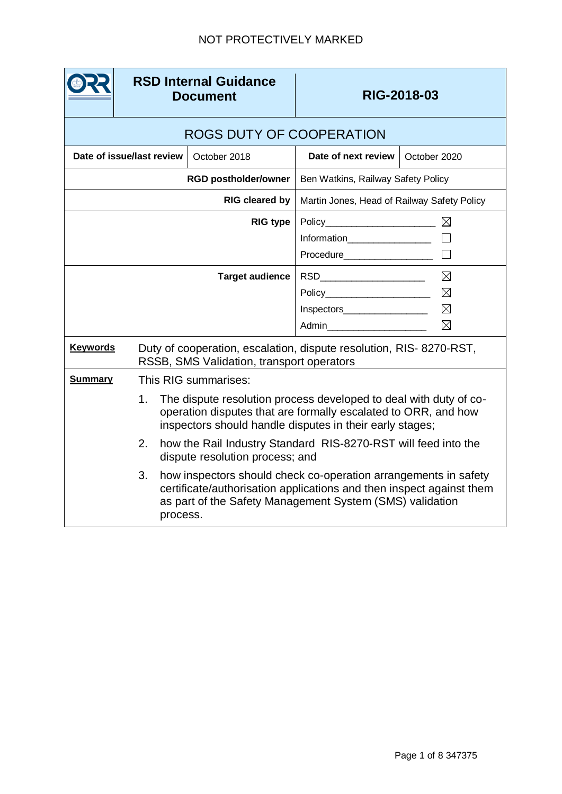|                             | <b>RSD Internal Guidance</b><br><b>Document</b>                                                                  |          | RIG-2018-03                                                                                                                                                                                         |                                                               |                                      |  |  |  |
|-----------------------------|------------------------------------------------------------------------------------------------------------------|----------|-----------------------------------------------------------------------------------------------------------------------------------------------------------------------------------------------------|---------------------------------------------------------------|--------------------------------------|--|--|--|
|                             | ROGS DUTY OF COOPERATION                                                                                         |          |                                                                                                                                                                                                     |                                                               |                                      |  |  |  |
| Date of issue/last review   |                                                                                                                  |          | October 2018                                                                                                                                                                                        | Date of next review                                           | October 2020                         |  |  |  |
| <b>RGD postholder/owner</b> |                                                                                                                  |          |                                                                                                                                                                                                     | Ben Watkins, Railway Safety Policy                            |                                      |  |  |  |
| RIG cleared by              |                                                                                                                  |          |                                                                                                                                                                                                     | Martin Jones, Head of Railway Safety Policy                   |                                      |  |  |  |
|                             |                                                                                                                  |          | <b>RIG type</b>                                                                                                                                                                                     | Information__________________<br>Procedure___________________ |                                      |  |  |  |
|                             |                                                                                                                  |          | <b>Target audience</b>                                                                                                                                                                              | Policy<br>Inspectors___________________                       | ⊠<br>$\boxtimes$<br>$\boxtimes$<br>⊠ |  |  |  |
| <b>Keywords</b>             | Duty of cooperation, escalation, dispute resolution, RIS- 8270-RST,<br>RSSB, SMS Validation, transport operators |          |                                                                                                                                                                                                     |                                                               |                                      |  |  |  |
| <b>Summary</b>              |                                                                                                                  |          | This RIG summarises:                                                                                                                                                                                |                                                               |                                      |  |  |  |
|                             | 1 <sub>1</sub>                                                                                                   |          | The dispute resolution process developed to deal with duty of co-<br>operation disputes that are formally escalated to ORR, and how<br>inspectors should handle disputes in their early stages;     |                                                               |                                      |  |  |  |
|                             | 2.                                                                                                               |          | how the Rail Industry Standard RIS-8270-RST will feed into the<br>dispute resolution process; and                                                                                                   |                                                               |                                      |  |  |  |
|                             | 3.                                                                                                               | process. | how inspectors should check co-operation arrangements in safety<br>certificate/authorisation applications and then inspect against them<br>as part of the Safety Management System (SMS) validation |                                                               |                                      |  |  |  |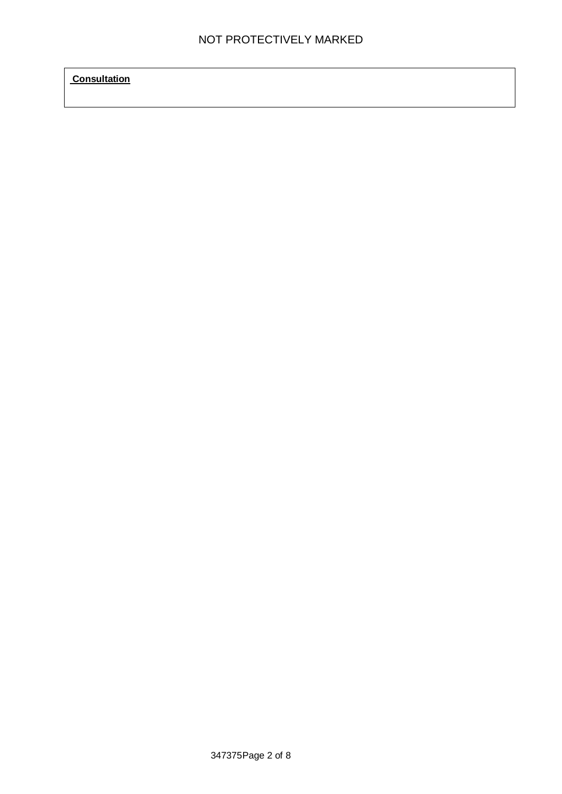**Consultation**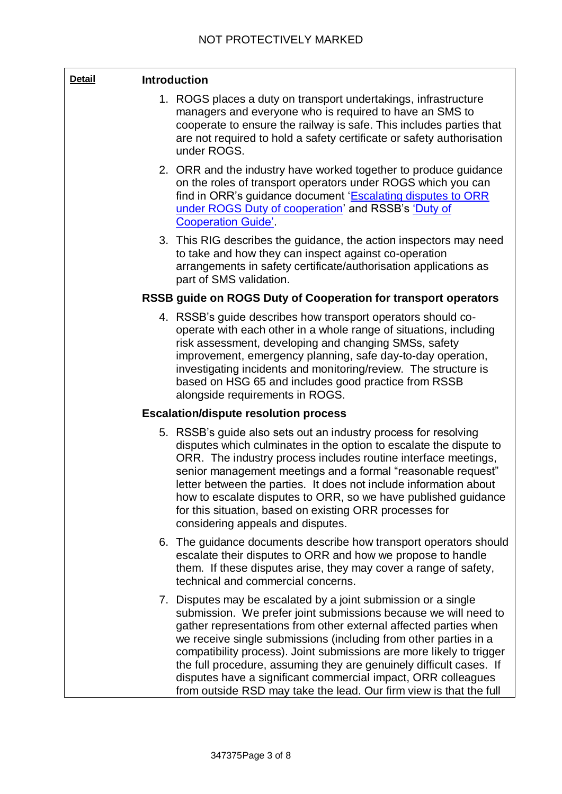| <b>Detail</b> | <b>Introduction</b> |                                                                                                                                                                                                                                                                                                                                                                                                                                                                                                                                                                 |
|---------------|---------------------|-----------------------------------------------------------------------------------------------------------------------------------------------------------------------------------------------------------------------------------------------------------------------------------------------------------------------------------------------------------------------------------------------------------------------------------------------------------------------------------------------------------------------------------------------------------------|
|               |                     | 1. ROGS places a duty on transport undertakings, infrastructure<br>managers and everyone who is required to have an SMS to<br>cooperate to ensure the railway is safe. This includes parties that<br>are not required to hold a safety certificate or safety authorisation<br>under ROGS.                                                                                                                                                                                                                                                                       |
|               |                     | 2. ORR and the industry have worked together to produce guidance<br>on the roles of transport operators under ROGS which you can<br>find in ORR's guidance document 'Escalating disputes to ORR<br>under ROGS Duty of cooperation' and RSSB's 'Duty of<br><b>Cooperation Guide'.</b>                                                                                                                                                                                                                                                                            |
|               |                     | 3. This RIG describes the guidance, the action inspectors may need<br>to take and how they can inspect against co-operation<br>arrangements in safety certificate/authorisation applications as<br>part of SMS validation.                                                                                                                                                                                                                                                                                                                                      |
|               |                     | RSSB guide on ROGS Duty of Cooperation for transport operators                                                                                                                                                                                                                                                                                                                                                                                                                                                                                                  |
|               |                     | 4. RSSB's guide describes how transport operators should co-<br>operate with each other in a whole range of situations, including<br>risk assessment, developing and changing SMSs, safety<br>improvement, emergency planning, safe day-to-day operation,<br>investigating incidents and monitoring/review. The structure is<br>based on HSG 65 and includes good practice from RSSB<br>alongside requirements in ROGS.                                                                                                                                         |
|               |                     | <b>Escalation/dispute resolution process</b>                                                                                                                                                                                                                                                                                                                                                                                                                                                                                                                    |
|               |                     | 5. RSSB's guide also sets out an industry process for resolving<br>disputes which culminates in the option to escalate the dispute to<br>ORR. The industry process includes routine interface meetings,<br>senior management meetings and a formal "reasonable request"<br>letter between the parties. It does not include information about<br>how to escalate disputes to ORR, so we have published guidance<br>for this situation, based on existing ORR processes for<br>considering appeals and disputes.                                                  |
|               |                     | 6. The guidance documents describe how transport operators should<br>escalate their disputes to ORR and how we propose to handle<br>them. If these disputes arise, they may cover a range of safety,<br>technical and commercial concerns.                                                                                                                                                                                                                                                                                                                      |
|               |                     | 7. Disputes may be escalated by a joint submission or a single<br>submission. We prefer joint submissions because we will need to<br>gather representations from other external affected parties when<br>we receive single submissions (including from other parties in a<br>compatibility process). Joint submissions are more likely to trigger<br>the full procedure, assuming they are genuinely difficult cases. If<br>disputes have a significant commercial impact, ORR colleagues<br>from outside RSD may take the lead. Our firm view is that the full |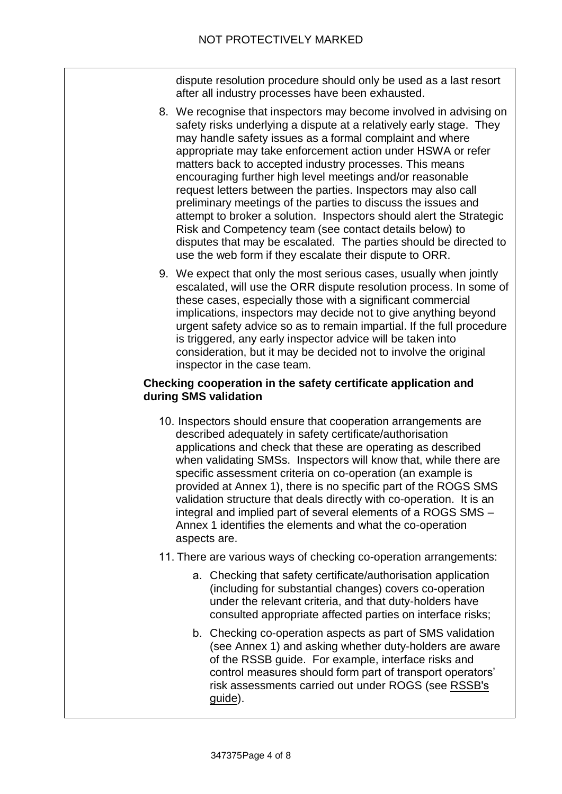dispute resolution procedure should only be used as a last resort after all industry processes have been exhausted.

- 8. We recognise that inspectors may become involved in advising on safety risks underlying a dispute at a relatively early stage. They may handle safety issues as a formal complaint and where appropriate may take enforcement action under HSWA or refer matters back to accepted industry processes. This means encouraging further high level meetings and/or reasonable request letters between the parties. Inspectors may also call preliminary meetings of the parties to discuss the issues and attempt to broker a solution. Inspectors should alert the Strategic Risk and Competency team (see contact details below) to disputes that may be escalated. The parties should be directed to use the web form if they escalate their dispute to ORR.
- 9. We expect that only the most serious cases, usually when jointly escalated, will use the ORR dispute resolution process. In some of these cases, especially those with a significant commercial implications, inspectors may decide not to give anything beyond urgent safety advice so as to remain impartial. If the full procedure is triggered, any early inspector advice will be taken into consideration, but it may be decided not to involve the original inspector in the case team.

# **Checking cooperation in the safety certificate application and during SMS validation**

- 10. Inspectors should ensure that cooperation arrangements are described adequately in safety certificate/authorisation applications and check that these are operating as described when validating SMSs. Inspectors will know that, while there are specific assessment criteria on co-operation (an example is provided at Annex 1), there is no specific part of the ROGS SMS validation structure that deals directly with co-operation. It is an integral and implied part of several elements of a ROGS SMS – Annex 1 identifies the elements and what the co-operation aspects are.
- 11. There are various ways of checking co-operation arrangements:
	- a. Checking that safety certificate/authorisation application (including for substantial changes) covers co-operation under the relevant criteria, and that duty-holders have consulted appropriate affected parties on interface risks;
	- b. Checking co-operation aspects as part of SMS validation (see Annex 1) and asking whether duty-holders are aware of the RSSB guide. For example, interface risks and control measures should form part of transport operators' risk assessments carried out under ROGS (see [RSSB](https://www.rssb.co.uk/RSSB-and-the-rail-industry/Complying-with-Legislation)'s q[uide\)](https://www.rssb.co.uk/RSSB-and-the-rail-industry/Complying-with-Legislation).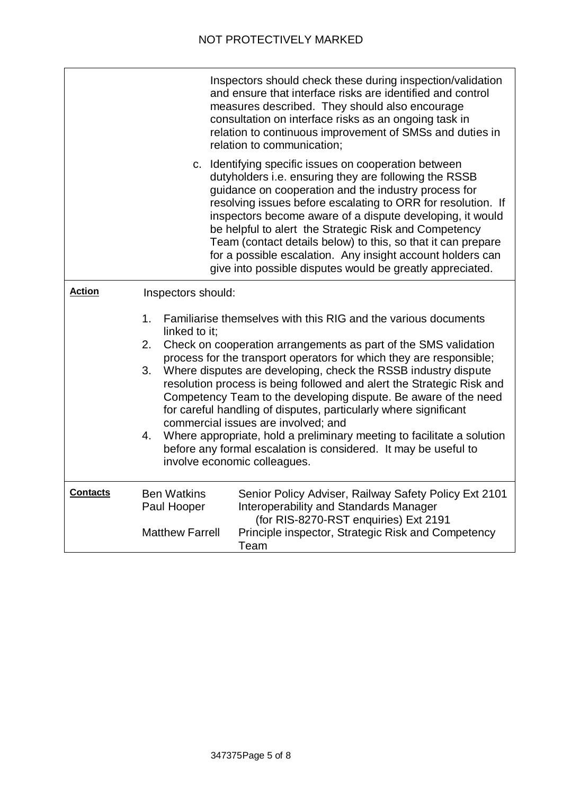|                 |                                                   | Inspectors should check these during inspection/validation<br>and ensure that interface risks are identified and control<br>measures described. They should also encourage<br>consultation on interface risks as an ongoing task in<br>relation to continuous improvement of SMSs and duties in<br>relation to communication;                                                                                                                                                                                                                                                                                                                                                                                  |  |  |
|-----------------|---------------------------------------------------|----------------------------------------------------------------------------------------------------------------------------------------------------------------------------------------------------------------------------------------------------------------------------------------------------------------------------------------------------------------------------------------------------------------------------------------------------------------------------------------------------------------------------------------------------------------------------------------------------------------------------------------------------------------------------------------------------------------|--|--|
|                 |                                                   | c. Identifying specific issues on cooperation between<br>dutyholders i.e. ensuring they are following the RSSB<br>guidance on cooperation and the industry process for<br>resolving issues before escalating to ORR for resolution. If<br>inspectors become aware of a dispute developing, it would<br>be helpful to alert the Strategic Risk and Competency<br>Team (contact details below) to this, so that it can prepare<br>for a possible escalation. Any insight account holders can<br>give into possible disputes would be greatly appreciated.                                                                                                                                                        |  |  |
| <b>Action</b>   | Inspectors should:                                |                                                                                                                                                                                                                                                                                                                                                                                                                                                                                                                                                                                                                                                                                                                |  |  |
|                 | 1 <sub>1</sub><br>linked to it:<br>2.<br>3.<br>4. | Familiarise themselves with this RIG and the various documents<br>Check on cooperation arrangements as part of the SMS validation<br>process for the transport operators for which they are responsible;<br>Where disputes are developing, check the RSSB industry dispute<br>resolution process is being followed and alert the Strategic Risk and<br>Competency Team to the developing dispute. Be aware of the need<br>for careful handling of disputes, particularly where significant<br>commercial issues are involved; and<br>Where appropriate, hold a preliminary meeting to facilitate a solution<br>before any formal escalation is considered. It may be useful to<br>involve economic colleagues. |  |  |
| <b>Contacts</b> | <b>Ben Watkins</b><br>Paul Hooper                 | Senior Policy Adviser, Railway Safety Policy Ext 2101<br>Interoperability and Standards Manager<br>(for RIS-8270-RST enquiries) Ext 2191                                                                                                                                                                                                                                                                                                                                                                                                                                                                                                                                                                       |  |  |
|                 | <b>Matthew Farrell</b>                            | Principle inspector, Strategic Risk and Competency<br>Team                                                                                                                                                                                                                                                                                                                                                                                                                                                                                                                                                                                                                                                     |  |  |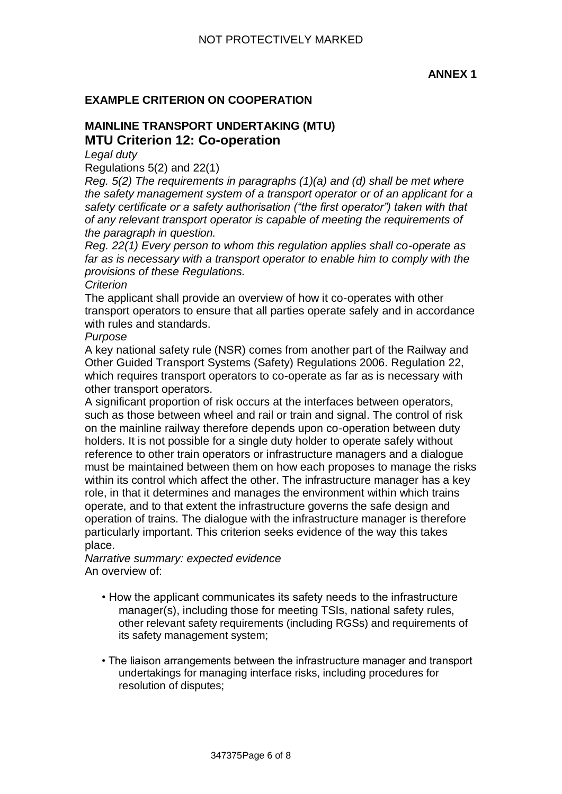### **ANNEX 1**

### **EXAMPLE CRITERION ON COOPERATION**

# **MAINLINE TRANSPORT UNDERTAKING (MTU) MTU Criterion 12: Co-operation**

*Legal duty* 

Regulations 5(2) and 22(1)

*Reg. 5(2) The requirements in paragraphs (1)(a) and (d) shall be met where the safety management system of a transport operator or of an applicant for a safety certificate or a safety authorisation ("the first operator") taken with that of any relevant transport operator is capable of meeting the requirements of the paragraph in question.* 

*Reg. 22(1) Every person to whom this regulation applies shall co-operate as far as is necessary with a transport operator to enable him to comply with the provisions of these Regulations.* 

#### *Criterion*

The applicant shall provide an overview of how it co-operates with other transport operators to ensure that all parties operate safely and in accordance with rules and standards.

#### *Purpose*

A key national safety rule (NSR) comes from another part of the Railway and Other Guided Transport Systems (Safety) Regulations 2006. Regulation 22, which requires transport operators to co-operate as far as is necessary with other transport operators.

A significant proportion of risk occurs at the interfaces between operators, such as those between wheel and rail or train and signal. The control of risk on the mainline railway therefore depends upon co-operation between duty holders. It is not possible for a single duty holder to operate safely without reference to other train operators or infrastructure managers and a dialogue must be maintained between them on how each proposes to manage the risks within its control which affect the other. The infrastructure manager has a key role, in that it determines and manages the environment within which trains operate, and to that extent the infrastructure governs the safe design and operation of trains. The dialogue with the infrastructure manager is therefore particularly important. This criterion seeks evidence of the way this takes place.

*Narrative summary: expected evidence*  An overview of:

- How the applicant communicates its safety needs to the infrastructure manager(s), including those for meeting TSIs, national safety rules, other relevant safety requirements (including RGSs) and requirements of its safety management system;
- The liaison arrangements between the infrastructure manager and transport undertakings for managing interface risks, including procedures for resolution of disputes;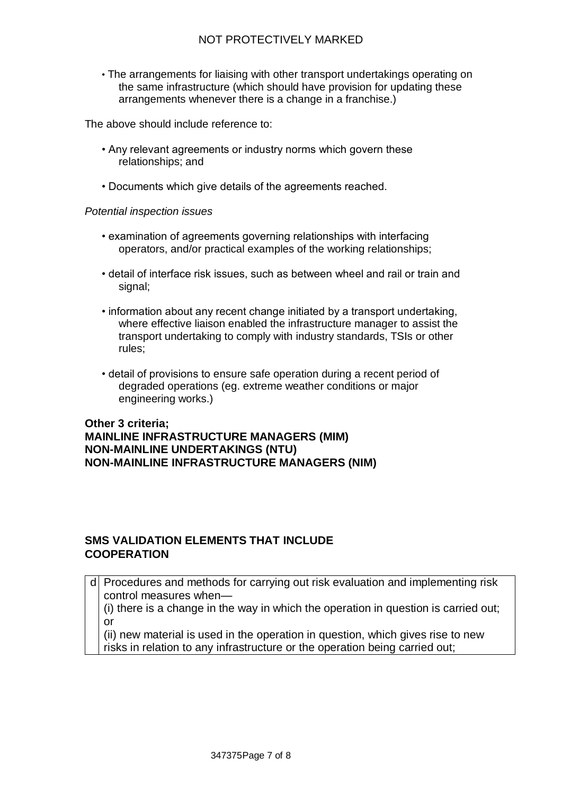# NOT PROTECTIVELY MARKED

• The arrangements for liaising with other transport undertakings operating on the same infrastructure (which should have provision for updating these arrangements whenever there is a change in a franchise.)

The above should include reference to:

- Any relevant agreements or industry norms which govern these relationships; and
- Documents which give details of the agreements reached.

#### *Potential inspection issues*

- examination of agreements governing relationships with interfacing operators, and/or practical examples of the working relationships;
- detail of interface risk issues, such as between wheel and rail or train and signal;
- information about any recent change initiated by a transport undertaking, where effective liaison enabled the infrastructure manager to assist the transport undertaking to comply with industry standards, TSIs or other rules;
- detail of provisions to ensure safe operation during a recent period of degraded operations (eg. extreme weather conditions or major engineering works.)

**Other 3 criteria; MAINLINE INFRASTRUCTURE MANAGERS (MIM) NON-MAINLINE UNDERTAKINGS (NTU) NON-MAINLINE INFRASTRUCTURE MANAGERS (NIM)** 

### **SMS VALIDATION ELEMENTS THAT INCLUDE COOPERATION**

d Procedures and methods for carrying out risk evaluation and implementing risk control measures when—

(i) there is a change in the way in which the operation in question is carried out; or

(ii) new material is used in the operation in question, which gives rise to new risks in relation to any infrastructure or the operation being carried out;